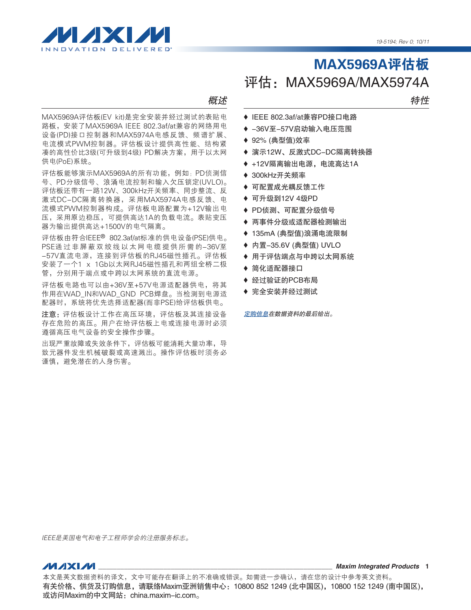

概述

MAX5969A评估板(EV kit)是完全安装并经过测试的表贴电 路板,安装了MAX5969A IEEE 802.3af/at兼容的网络用电 设备(PD)接口控制器和MAX5974A电感反馈、频谱扩展、 电流模式PWM控制器。评估板设计提供高性能、结构紧 凑的高性价比3级(可升级到4级) PD解决方案,用于以太网 供电(PoE)系统。

评估板能够演示MAX5969A的所有功能,例如:PD侦测信 号、PD分级信号、浪涌电流控制和输入欠压锁定(UVLO)。 评估板还带有一路12W、300kHz开关频率、同步整流、反 激式DC-DC隔离转换器,采用MAX5974A电感反馈、电 流模式PWM控制器构成。评估板电路配置为+12V输出电 压,采用原边稳压,可提供高达1A的负载电流。表贴变压 器为输出提供高达+1500V的电气隔离。

评估板由符合IEEE® 802.3af/at标准的供电设备(PSE)供电。 PSE通过非屏蔽双绞线以太网电缆提供所需的-36V至 -57V直流电源,连接到评估板的RJ45磁性插孔。评估板 安装了一个1 x 1Gb以太网RJ45磁性插孔和两组全桥二极 管,分别用于端点或中跨以太网系统的直流电源。

评估板电路也可以由+36V至+57V电源适配器供电,将其 作用在WAD\_IN和WAD\_GND\_PCB焊盘。当检测到电源适 配器时,系统将优先选择适配器(而非PSE)给评估板供电。

注意: 评估板设计工作在高压环境, 评估板及其连接设备 存在危险的高压。用户在给评估板上电或连接电源时必须 遵循高压电气设备的安全操作步骤。

出现严重故障或失效条件下,评估板可能消耗大量功率,导 致元器件发生机械破裂或高速溅出。操作评估板时须务必 谨慎,避免潜在的人身伤害。

特性

- ◆ IEEE 802.3af/at兼容PD接口电路
- ◆ -36V至-57V启动输入电压范围
- ◆ 92% (典型值)效率
- ◆ 演示12W、反激式DC-DC隔离转换器
- ◆ +12V隔离输出电源, 电流高达1A
- ◆ 300kHz开关频率
- ◆ 可配置成光耦反馈工作
- ◆ 可升级到12V 4级PD
- ◆ PD侦测、可配置分级信号
- ♦ 两事件分级或适配器检测输出
- ◆ 135mA (典型值)浪涌电流限制
- ◆ 内置-35.6V (典型值) UVLO
- ◆ 用于评估端点与中跨以太网系统
- ◆ 简化适配器接口
- ◆ 经过验证的PCB布局
- ◆ 完全安装并经过测试

[定购信息在](#page-9-0)数据资料的最后给出。

IEEE是美国电气和电子工程师学会的注册服务标志。

*Maxim Integrated Products* 1

本文是英文数据资料的译文,文中可能存在翻译上的不准确或错误。如需进一步确认,请在您的设计中参考英文资料。 有关价格、供货及订购信息,请联络Maxim亚洲销售中心:10800 852 1249 (北中国区),10800 152 1249 (南中国区), 或访问Maxim的中文网站:[china.maxim-ic.com。](http://china.maxim-ic.com)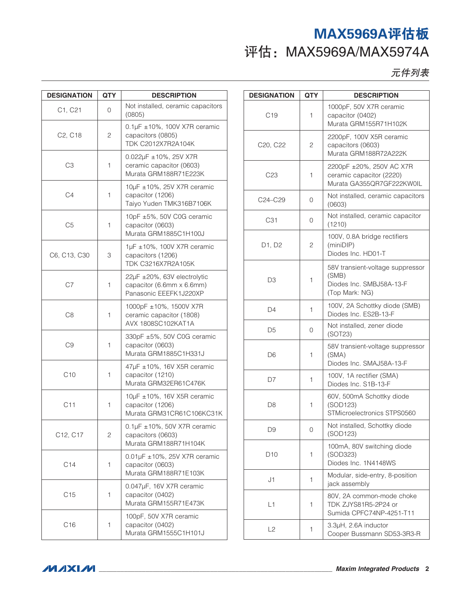元件列表

| <b>DESIGNATION</b><br><b>QTY</b> |   | <b>DESCRIPTION</b>                                                                 |  |
|----------------------------------|---|------------------------------------------------------------------------------------|--|
| C1, C21                          | 0 | Not installed, ceramic capacitors<br>(0805)                                        |  |
| C <sub>2</sub> , C <sub>18</sub> | 2 | 0.1µF ±10%, 100V X7R ceramic<br>capacitors (0805)<br>TDK C2012X7R2A104K            |  |
| C <sub>3</sub>                   | 1 | 0.022µF ±10%, 25V X7R<br>ceramic capacitor (0603)<br>Murata GRM188R71E223K         |  |
| C4                               | 1 | 10µF ±10%, 25V X7R ceramic<br>capacitor (1206)<br>Taiyo Yuden TMK316B7106K         |  |
| C <sub>5</sub>                   | 1 | 10pF ±5%, 50V C0G ceramic<br>capacitor (0603)<br>Murata GRM1885C1H100J             |  |
| C6, C13, C30                     | 3 | 1µF ±10%, 100V X7R ceramic<br>capacitors (1206)<br><b>TDK C3216X7R2A105K</b>       |  |
| C7                               | 1 | 22µF ±20%, 63V electrolytic<br>capacitor (6.6mm x 6.6mm)<br>Panasonic EEEFK1J220XP |  |
| C8                               | 1 | 1000pF ±10%, 1500V X7R<br>ceramic capacitor (1808)<br>AVX 1808SC102KAT1A           |  |
| C9                               | 1 | 330pF ±5%, 50V C0G ceramic<br>capacitor (0603)<br>Murata GRM1885C1H331J            |  |
| C10                              | 1 | 47µF ±10%, 16V X5R ceramic<br>capacitor (1210)<br>Murata GRM32ER61C476K            |  |
| C <sub>11</sub>                  | 1 | 10µF ±10%, 16V X5R ceramic<br>capacitor (1206)<br>Murata GRM31CR61C106KC31K        |  |
| C12, C17                         | 2 | $0.1\mu$ F ±10%, 50V X7R ceramic<br>capacitors (0603)<br>Murata GRM188R71H104K     |  |
| C <sub>14</sub>                  | 1 | $0.01 \mu$ F ±10%, 25V X7R ceramic<br>capacitor (0603)<br>Murata GRM188R71E103K    |  |
| C <sub>15</sub>                  | 1 | 0.047µF, 16V X7R ceramic<br>capacitor (0402)<br>Murata GRM155R71E473K              |  |
| C <sub>16</sub>                  | 1 | 100pF, 50V X7R ceramic<br>capacitor (0402)<br>Murata GRM1555C1H101J                |  |

| <b>DESIGNATION</b> | <b>QTY</b>   | <b>DESCRIPTION</b>                                                                      |  |
|--------------------|--------------|-----------------------------------------------------------------------------------------|--|
| C <sub>19</sub>    | 1            | 1000pF, 50V X7R ceramic<br>capacitor (0402)<br>Murata GRM155R71H102K                    |  |
| C20, C22           | $\mathbf{2}$ | 2200pF, 100V X5R ceramic<br>capacitors (0603)<br>Murata GRM188R72A222K                  |  |
| C <sub>23</sub>    | 1            | 2200pF ±20%, 250V AC X7R<br>ceramic capacitor (2220)<br>Murata GA355QR7GF222KW0IL       |  |
| C24–C29            | 0            | Not installed, ceramic capacitors<br>(0603)                                             |  |
| C <sub>31</sub>    | 0            | Not installed, ceramic capacitor<br>(1210)                                              |  |
| D1, D2             | 2            | 100V, 0.8A bridge rectifiers<br>(minDIP)<br>Diodes Inc. HD01-T                          |  |
| D3                 | 1            | 58V transient-voltage suppressor<br>(SMB)<br>Diodes Inc. SMBJ58A-13-F<br>(Top Mark: NG) |  |
| D4                 | 1            | 100V, 2A Schottky diode (SMB)<br>Diodes Inc. ES2B-13-F                                  |  |
| D5                 | 0            | Not installed, zener diode<br>(SOT23)                                                   |  |
| D6                 | 1            | 58V transient-voltage suppressor<br>(SMA)<br>Diodes Inc. SMAJ58A-13-F                   |  |
| D7                 | 1            | 100V, 1A rectifier (SMA)<br>Diodes Inc. S1B-13-F                                        |  |
| D <sub>8</sub>     | 1            | 60V, 500mA Schottky diode<br>(SOD123)<br>STMicroelectronics STPS0560                    |  |
| D9                 | 0            | Not installed, Schottky diode<br>(SOD123)                                               |  |
| D <sub>10</sub>    | 1            | 100mA, 80V switching diode<br>(SOD323)<br>Diodes Inc. 1N4148WS                          |  |
| J1                 | 1            | Modular, side-entry, 8-position<br>jack assembly                                        |  |
| L1                 | 1            | 80V, 2A common-mode choke<br>TDK ZJYS81R5-2P24 or<br>Sumida CPFC74NP-4251-T11           |  |
| L2                 | 1            | 3.3µH, 2.6A inductor<br>Cooper Bussmann SD53-3R3-R                                      |  |

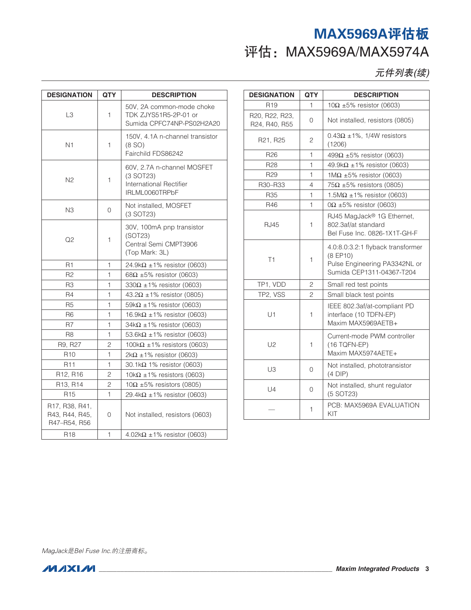元件列表(续)

| <b>DESIGNATION</b>                               | <b>QTY</b>   | <b>DESCRIPTION</b>                                                                     |  |
|--------------------------------------------------|--------------|----------------------------------------------------------------------------------------|--|
| L <sub>3</sub>                                   | 1            | 50V. 2A common-mode choke<br>TDK ZJYS51R5-2P-01 or<br>Sumida CPFC74NP-PS02H2A20        |  |
| N1                                               | 1            | 150V, 4.1A n-channel transistor<br>(8 S <sub>O</sub> )<br>Fairchild FDS86242           |  |
| N <sub>2</sub>                                   | $\mathbf{1}$ | 60V, 2.7A n-channel MOSFET<br>$(3$ SOT23)<br>International Rectifier<br>IRLML0060TRPbF |  |
| N3                                               | 0            | Not installed, MOSFET<br>(3 SOT23)                                                     |  |
| Q2                                               | 1            | 30V, 100mA pnp transistor<br>(SOT23)<br>Central Semi CMPT3906<br>(Top Mark: 3L)        |  |
| R1                                               | 1            | 24.9k $\Omega$ ±1% resistor (0603)                                                     |  |
| R <sub>2</sub>                                   | 1            | 68 $\Omega$ ±5% resistor (0603)                                                        |  |
| R <sub>3</sub>                                   | $\mathbf{1}$ | 330 $\Omega$ ±1% resistor (0603)                                                       |  |
| R4                                               | $\mathbf{1}$ | 43.2Ω ±1% resistor (0805)                                                              |  |
| R <sub>5</sub>                                   | $\mathbf{1}$ | 59k $\Omega$ ±1% resistor (0603)                                                       |  |
| R6                                               | 1            | 16.9k $\Omega$ ±1% resistor (0603)                                                     |  |
| R7                                               | $\mathbf{1}$ | $34k\Omega \pm 1\%$ resistor (0603)                                                    |  |
| R <sub>8</sub>                                   | 1            | 53.6k $\Omega$ ±1% resistor (0603)                                                     |  |
| R9, R27                                          | 2            | 100k $\Omega$ ±1% resistors (0603)                                                     |  |
| R <sub>10</sub>                                  | $\mathbf{1}$ | $2k\Omega \pm 1\%$ resistor (0603)                                                     |  |
| <b>R11</b>                                       | $\mathbf{1}$ | 30.1k $\Omega$ 1% resistor (0603)                                                      |  |
| R12, R16                                         | 2            | 10k $\Omega$ ±1% resistors (0603)                                                      |  |
| R13, R14                                         | 2            | $10\Omega \pm 5\%$ resistors (0805)                                                    |  |
| R <sub>15</sub>                                  | $\mathbf{1}$ | 29.4k $\Omega$ ±1% resistor (0603)                                                     |  |
| R17, R38, R41,<br>R43, R44, R45,<br>R47-R54, R56 | 0            | Not installed, resistors (0603)                                                        |  |
| R <sub>18</sub>                                  | 1            | $4.02\mathrm{k}\Omega \pm 1\%$ resistor (0603)                                         |  |

| <b>DESIGNATION</b>              | <b>QTY</b>     | <b>DESCRIPTION</b>                                                                                          |  |
|---------------------------------|----------------|-------------------------------------------------------------------------------------------------------------|--|
| R <sub>19</sub>                 | 1              | $10\Omega \pm 5\%$ resistor (0603)                                                                          |  |
| R20, R22, R23,<br>R24, R40, R55 | 0              | Not installed, resistors (0805)                                                                             |  |
| R21, R25                        | $\overline{c}$ | $0.43\Omega \pm 1\%$ , 1/4W resistors<br>(1206)                                                             |  |
| R <sub>26</sub>                 | 1              | 499Ω ±5% resistor (0603)                                                                                    |  |
| R <sub>28</sub>                 | 1              | 49.9k $\Omega$ ±1% resistor (0603)                                                                          |  |
| R <sub>29</sub>                 | 1              | 1M $\Omega$ ±5% resistor (0603)                                                                             |  |
| R30-R33                         | 4              | $75\Omega \pm 5\%$ resistors (0805)                                                                         |  |
| R35                             | 1              | 1.5M $\Omega$ ±1% resistor (0603)                                                                           |  |
| R46                             | 1              | $0\Omega \pm 5\%$ resistor (0603)                                                                           |  |
| RJ45                            | 1              | RJ45 MagJack® 1G Ethernet,<br>802.3af/at standard<br>Bel Fuse Inc. 0826-1X1T-GH-F                           |  |
| T1                              | 1              | 4.0:8.0:3.2:1 flyback transformer<br>(8 EP10)<br>Pulse Engineering PA3342NL or<br>Sumida CEP1311-04367-T204 |  |
| TP1, VDD                        | 2              | Small red test points                                                                                       |  |
| TP2, VSS                        | $\overline{c}$ | Small black test points                                                                                     |  |
| U1                              | 1              | IEEE 802.3af/at-compliant PD<br>interface (10 TDFN-EP)<br>Maxim MAX5969AETB+                                |  |
| U <sub>2</sub>                  | 1              | Current-mode PWM controller<br>(16 TQFN-EP)<br>Maxim MAX5974AETE+                                           |  |
| U3                              | 0              | Not installed, phototransistor<br>$(4$ DIP)                                                                 |  |
| $U_4$                           | 0              | Not installed, shunt regulator<br>(5 SOT23)                                                                 |  |
|                                 | 1              | PCB: MAX5969A EVALUATION<br>KIT                                                                             |  |

MagJack是Bel Fuse Inc.的注册商标。

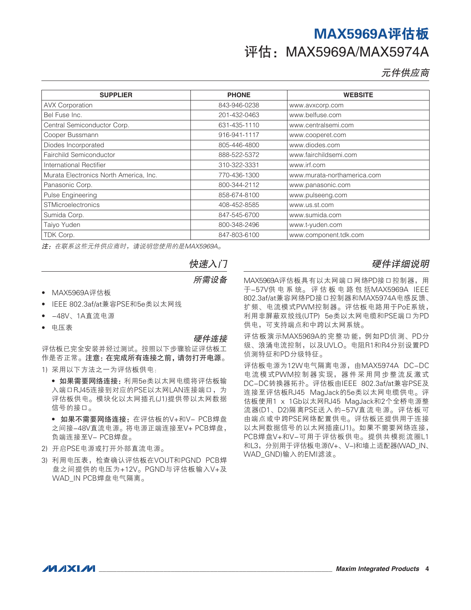元件供应商

| <b>SUPPLIER</b>                        | <b>PHONE</b> | <b>WEBSITE</b>              |
|----------------------------------------|--------------|-----------------------------|
| <b>AVX Corporation</b>                 | 843-946-0238 | www.avxcorp.com             |
| Bel Fuse Inc.                          | 201-432-0463 | www.belfuse.com             |
| Central Semiconductor Corp.            | 631-435-1110 | www.centralsemi.com         |
| Cooper Bussmann                        | 916-941-1117 | www.cooperet.com            |
| Diodes Incorporated                    | 805-446-4800 | www.diodes.com              |
| Fairchild Semiconductor                | 888-522-5372 | www.fairchildsemi.com       |
| International Rectifier                | 310-322-3331 | www.irf.com                 |
| Murata Electronics North America, Inc. | 770-436-1300 | www.murata-northamerica.com |
| Panasonic Corp.                        | 800-344-2112 | www.panasonic.com           |
| Pulse Engineering                      | 858-674-8100 | www.pulseeng.com            |
| <b>STMicroelectronics</b>              | 408-452-8585 | www.us.st.com               |
| Sumida Corp.                           | 847-545-6700 | www.sumida.com              |
| Taiyo Yuden                            | 800-348-2496 | www.t-yuden.com             |
| TDK Corp.                              | 847-803-6100 | www.component.tdk.com       |

注:在联系这些元件供应商时,请说明您使用的是MAX5969A。

#### 快速入门

所需设备

- • MAX5969A评估板
- IEEE 802.3af/at兼容PSE和5e类以太网线
- -48V、1A直流电源
- 电压表

#### 硬件连接

评估板已完全安装并经过测试。按照以下步骤验证评估板工 作是否正常。注意:在完成所有连接之前,请勿打开电源。 1) 采用以下方法之一为评估板供电:

- 如果需要网络连接:利用5e类以太网电缆将评估板输 入端口RJ45连接到对应的PSE以太网LAN连接端口, 为 评估板供电。模块化以太网插孔(J1)提供带以太网数据 信号的接口。
- 如果不需要网络连接:在评估板的V+和V- PCB焊盘 之间接-48V直流电源。将电源正端连接至V+ PCB焊盘, 负端连接至V- PCB焊盘。
- 2) 开启PSE电源或打开外部直流电源。
- 3) 利用电压表,检查确认评估板在VOUT和PGND PCB焊 盘之间提供的电压为+12V。PGND与评估板输入V+及 WAD\_IN PCB焊盘电气隔离。

#### 硬件详细说明

MAX5969A评估板具有以太网端口网络PD接口控制器,用 于-57V供 电 系 统。 评 估 板 电 路 包 括MAX5969A IEEE 802.3af/at兼容网络PD接口控制器和MAX5974A电感反馈、 扩频、电流模式PWM控制器。评估板电路用于PoE系统, 利用非屏蔽双绞线(UTP) 5e类以太网电缆和PSE端口为PD 供电,可支持端点和中跨以太网系统。

评估板演示MAX5969A的完整功能,例如PD侦测、PD分 级、浪涌电流控制,以及UVLO。电阻R1和R4分别设置PD 侦测特征和PD分级特征。

评估板电源为12W电气隔离电源,由MAX5974A DC-DC 电流模式PWM控制器实现,器件采用同步整流反激式 DC-DC转换器拓扑。评估板由IEEE 802.3af/at兼容PSE及 连接至评估板RJ45 MagJack的5e类以太网电缆供电。评 估板使用1 x 1Gb以太网RJ45 MagJack和2个全桥电源整 流器(D1、D2)隔离PSE送入的-57V直流电源。评估板可 由端点或中跨PSE网络配置供电。评估板还提供用于连接 以太网数据信号的以太网插座(J1)。如果不需要网络连接, PCB焊盘V+和V-可用于评估板供电。提供共模扼流圈L1 和L3,分别用于评估板电源(V+、V-)和墙上适配器(WAD\_IN、 WAD\_GND)输入的EMI滤波。

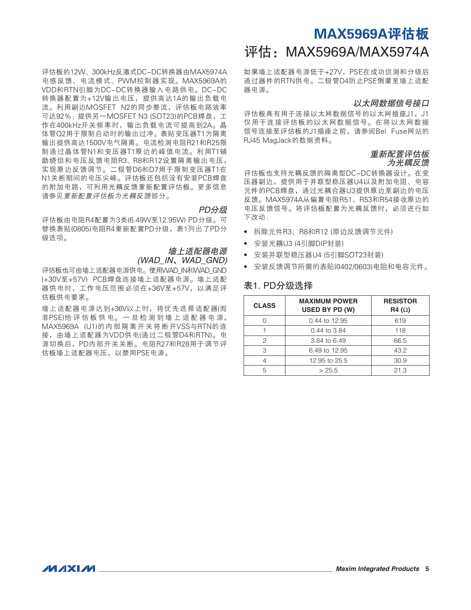评估板的12W、300kHz反激式DC-DC转换器由MAX5974A 电感反馈、电流模式、PWM控制器实现。MAX5969A的 VDD和RTN引脚为DC-DC转换器输入电路供电。DC-DC 转换器配置为+12V输出电压, 提供高达1A的输出负载电 流。利用副边MOSFET N2的同步整流,评估板电路效率 可达92%; 提供另一MOSFET N3 (SOT23)的PCB焊盘,工 作在400kHz开关频率时,输出负载电流可提高到2A。晶 体管Q2用于限制启动时的输出过冲。表贴变压器T1为隔离 输出提供高达1500V电气隔离。电流检测电阻R21和R25限 制通过晶体管N1和变压器T1原边的峰值电流。利用T1辅 助绕组和电压反馈电阻R3、R8和R12设置隔离输出电压, 实现原边反馈调节。二极管D6和D7用于限制变压器T1在 N1关断期间的电压尖峰。评估板还包括没有安装PCB焊盘 的附加电路,可利用光耦反馈重新配置评估板。更多信息 请参见重新配置评估板为光耦反馈部分。

#### PD分级

评估板由电阻R4配置为3类(6.49W至12.95W) PD分级。可 替换表贴(0805)电阻R4重新配置PD分级,表1列出了PD分 级选项。

> 墙上适配器电源 (WAD\_IN、WAD\_GND)

评估板也可由墙上适配器电源供电。使用WAD\_IN和WAD\_GND (+30V至+57V) PCB焊盘连接墙上适配器电源。墙上适配 器供电时,工作电压范围必须在+36V至+57V,以满足评 估板供电要求。

墙上适配器电源达到+36V以上时,将优先选择适配器(而 非PSE)给 评 估 板 供 电。 一 旦 检 测 到 墙 上 适 配 器 电 源, MAX5969A (U1)的内部隔离开关将断开VSS与RTN的连 接,由墙上适配器为VDD供电(通过二极管D4和RTN)。电 源切换后,PD内部开关关断。电阻R27和R28用于调节评 估板墙上适配器电压,以禁用PSE电源。

### MAX5969A评估板 评估: MAX5969A/MAX5974A

如果墙上适配器电源低于+27V,PSE在成功侦测和分级后 通过器件的RTN供电。二极管D4防止PSE倒灌至墙上适配 器电源。

#### 以太网数据信号接口

评估板具有用于连接以太网数据信号的以太网插座J1, J1 仅用于连接评估板的以太网数据信号。在将以太网数据 信号连接至评估板的J1插座之前,请参阅Bel Fuse网站的 RJ45 MagJack的数据资料。

#### 重新配置评估板 为光耦反馈

评估板也支持光耦反馈的隔离型DC-DC转换器设计。在变 压器副边,提供用于并联型稳压器U4以及附加电阻、电容 元件的PCB焊盘,通过光耦合器U3提供原边至副边的电压 反馈。MAX5974A从偏置电阻R51、R53和R54接收原边的 电压反馈信号。将评估板配置为光耦反馈时,必须进行如 下改动:

- • 拆除元件R3、R8和R12 (原边反馈调节元件)
- • 安装光耦U3 (4引脚DIP封装)
- • 安装并联型稳压器U4 (5引脚SOT23封装)
- 安装反馈调节所需的表贴(0402/0603)电阻和电容元件。

#### 表1. PD分级选择

| <b>CLASS</b> | <b>MAXIMUM POWER</b><br>USED BY PD (W) | <b>RESISTOR</b><br>R4 $(\Omega)$ |
|--------------|----------------------------------------|----------------------------------|
|              | 0.44 to 12.95                          | 619                              |
|              | 0.44 to 3.84                           | 118                              |
| 2            | 3.84 to 6.49                           | 66.5                             |
| З            | 6.49 to 12.95                          | 43.2                             |
|              | 12.95 to 25.5                          | 30.9                             |
|              | > 25.5                                 | 21.3                             |

**MAXM**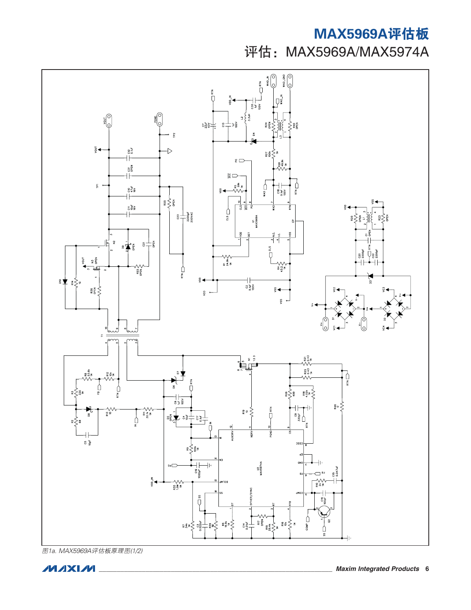

图1a. MAX5969A评估板原理图(1/2)

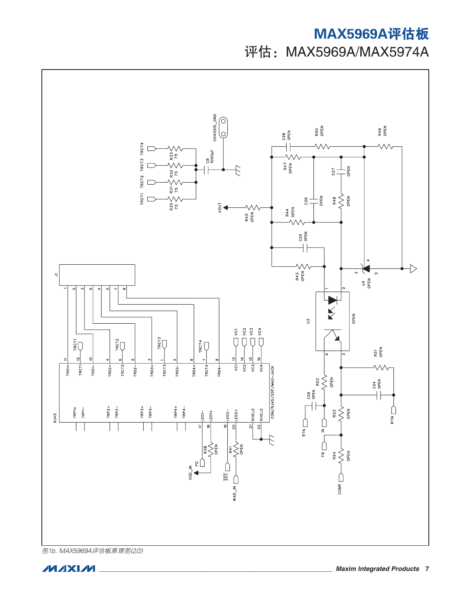

图1b. MAX5969A评估板原理图(2/2)

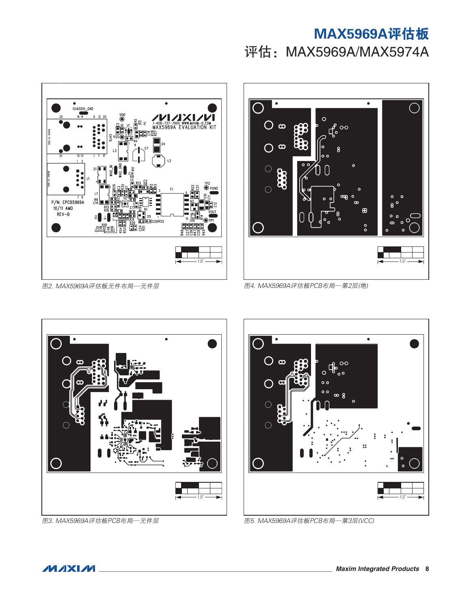

图2. MAX5969A评估板元件布局—元件层



图4. MAX5969A评估板PCB布局—第2层(地)



图3. MAX5969A评估板PCB布局—元件层



图5. MAX5969A评估板PCB布局—第3层(VCC)

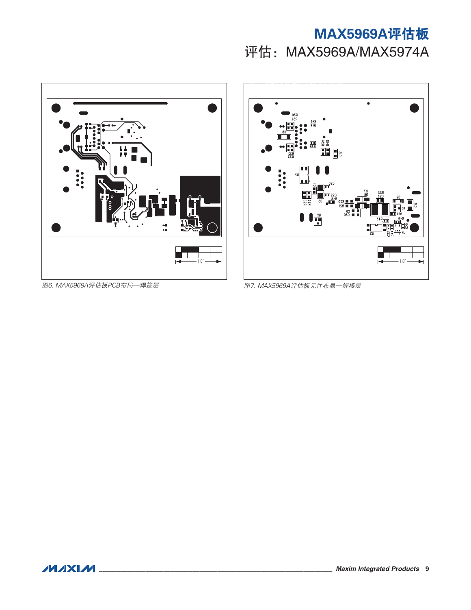



图6. MAX5969A评估板PCB布局—焊接层 图7. MAX5969A评估板元件布局—焊接层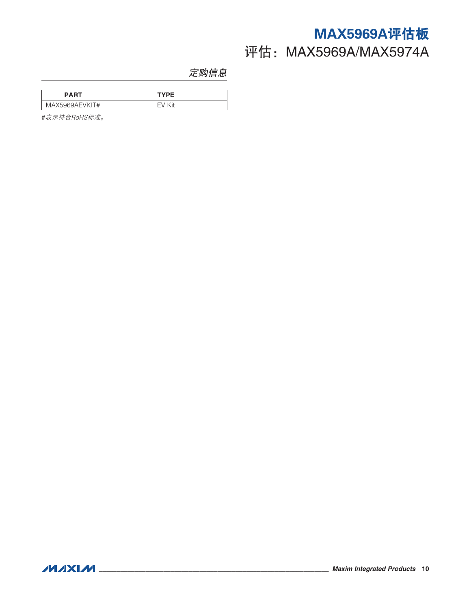### <span id="page-9-0"></span>定购信息

| PART              | TYPF |  |
|-------------------|------|--|
| MAX5969AEVK<br>T# | ′i+  |  |

#表示符合RoHS标准。